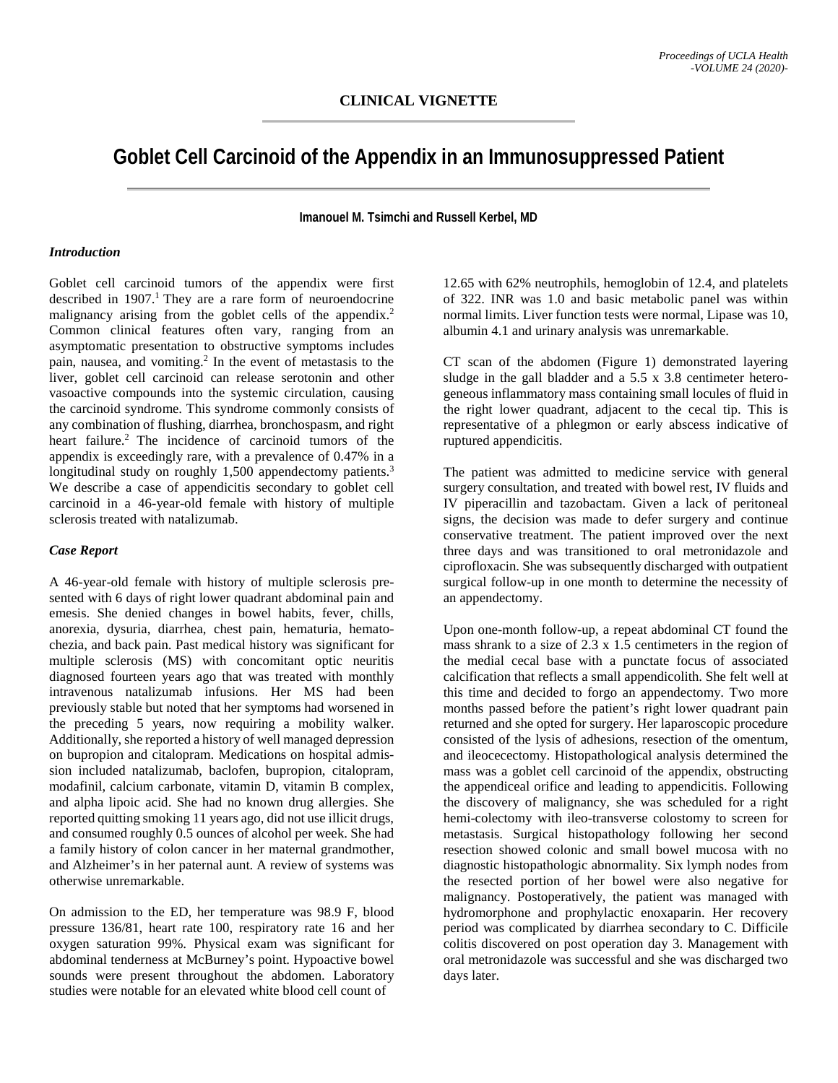# **Goblet Cell Carcinoid of the Appendix in an Immunosuppressed Patient**

**Imanouel M. Tsimchi and Russell Kerbel, MD**

#### *Introduction*

Goblet cell carcinoid tumors of the appendix were first described in 1907. 1 They are a rare form of neuroendocrine malignancy arising from the goblet cells of the appendix.<sup>2</sup> Common clinical features often vary, ranging from an asymptomatic presentation to obstructive symptoms includes pain, nausea, and vomiting.2 In the event of metastasis to the liver, goblet cell carcinoid can release serotonin and other vasoactive compounds into the systemic circulation, causing the carcinoid syndrome. This syndrome commonly consists of any combination of flushing, diarrhea, bronchospasm, and right heart failure.<sup>2</sup> The incidence of carcinoid tumors of the appendix is exceedingly rare, with a prevalence of 0.47% in a longitudinal study on roughly 1,500 appendectomy patients.<sup>3</sup> We describe a case of appendicitis secondary to goblet cell carcinoid in a 46-year-old female with history of multiple sclerosis treated with natalizumab.

## *Case Report*

A 46-year-old female with history of multiple sclerosis presented with 6 days of right lower quadrant abdominal pain and emesis. She denied changes in bowel habits, fever, chills, anorexia, dysuria, diarrhea, chest pain, hematuria, hematochezia, and back pain. Past medical history was significant for multiple sclerosis (MS) with concomitant optic neuritis diagnosed fourteen years ago that was treated with monthly intravenous natalizumab infusions. Her MS had been previously stable but noted that her symptoms had worsened in the preceding 5 years, now requiring a mobility walker. Additionally, she reported a history of well managed depression on bupropion and citalopram. Medications on hospital admission included natalizumab, baclofen, bupropion, citalopram, modafinil, calcium carbonate, vitamin D, vitamin B complex, and alpha lipoic acid. She had no known drug allergies. She reported quitting smoking 11 years ago, did not use illicit drugs, and consumed roughly 0.5 ounces of alcohol per week. She had a family history of colon cancer in her maternal grandmother, and Alzheimer's in her paternal aunt. A review of systems was otherwise unremarkable.

On admission to the ED, her temperature was 98.9 F, blood pressure 136/81, heart rate 100, respiratory rate 16 and her oxygen saturation 99%. Physical exam was significant for abdominal tenderness at McBurney's point. Hypoactive bowel sounds were present throughout the abdomen. Laboratory studies were notable for an elevated white blood cell count of

12.65 with 62% neutrophils, hemoglobin of 12.4, and platelets of 322. INR was 1.0 and basic metabolic panel was within normal limits. Liver function tests were normal, Lipase was 10, albumin 4.1 and urinary analysis was unremarkable.

CT scan of the abdomen (Figure 1) demonstrated layering sludge in the gall bladder and a 5.5 x 3.8 centimeter heterogeneous inflammatory mass containing small locules of fluid in the right lower quadrant, adjacent to the cecal tip. This is representative of a phlegmon or early abscess indicative of ruptured appendicitis.

The patient was admitted to medicine service with general surgery consultation, and treated with bowel rest, IV fluids and IV piperacillin and tazobactam. Given a lack of peritoneal signs, the decision was made to defer surgery and continue conservative treatment. The patient improved over the next three days and was transitioned to oral metronidazole and ciprofloxacin. She was subsequently discharged with outpatient surgical follow-up in one month to determine the necessity of an appendectomy.

Upon one-month follow-up, a repeat abdominal CT found the mass shrank to a size of 2.3 x 1.5 centimeters in the region of the medial cecal base with a punctate focus of associated calcification that reflects a small appendicolith. She felt well at this time and decided to forgo an appendectomy. Two more months passed before the patient's right lower quadrant pain returned and she opted for surgery. Her laparoscopic procedure consisted of the lysis of adhesions, resection of the omentum, and ileocecectomy. Histopathological analysis determined the mass was a goblet cell carcinoid of the appendix, obstructing the appendiceal orifice and leading to appendicitis. Following the discovery of malignancy, she was scheduled for a right hemi-colectomy with ileo-transverse colostomy to screen for metastasis. Surgical histopathology following her second resection showed colonic and small bowel mucosa with no diagnostic histopathologic abnormality. Six lymph nodes from the resected portion of her bowel were also negative for malignancy. Postoperatively, the patient was managed with hydromorphone and prophylactic enoxaparin. Her recovery period was complicated by diarrhea secondary to C. Difficile colitis discovered on post operation day 3. Management with oral metronidazole was successful and she was discharged two days later.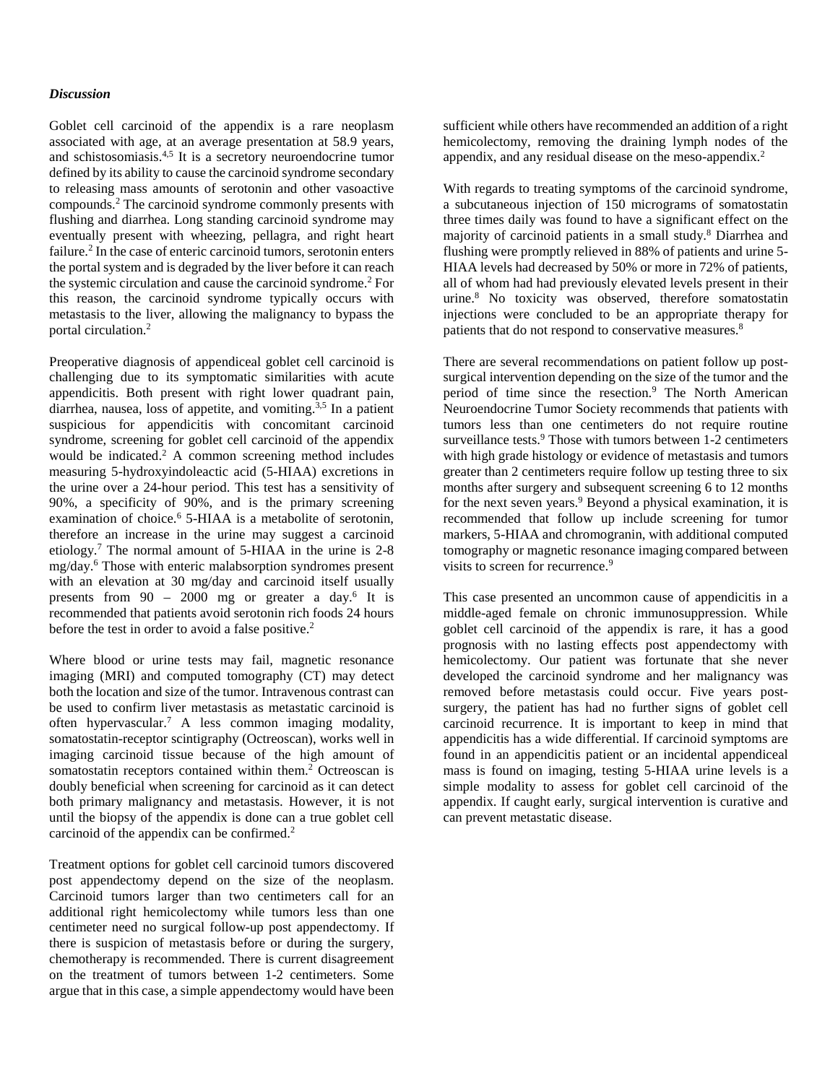### *Discussion*

Goblet cell carcinoid of the appendix is a rare neoplasm associated with age, at an average presentation at 58.9 years, and schistosomiasis. 4,5 It is a secretory neuroendocrine tumor defined by its ability to cause the carcinoid syndrome secondary to releasing mass amounts of serotonin and other vasoactive compounds.2 The carcinoid syndrome commonly presents with flushing and diarrhea. Long standing carcinoid syndrome may eventually present with wheezing, pellagra, and right heart failure. <sup>2</sup> In the case of enteric carcinoid tumors, serotonin enters the portal system and is degraded by the liver before it can reach the systemic circulation and cause the carcinoid syndrome. <sup>2</sup> For this reason, the carcinoid syndrome typically occurs with metastasis to the liver, allowing the malignancy to bypass the portal circulation.2

Preoperative diagnosis of appendiceal goblet cell carcinoid is challenging due to its symptomatic similarities with acute appendicitis. Both present with right lower quadrant pain, diarrhea, nausea, loss of appetite, and vomiting.<sup>3,5</sup> In a patient suspicious for appendicitis with concomitant carcinoid syndrome, screening for goblet cell carcinoid of the appendix would be indicated.2 A common screening method includes measuring 5-hydroxyindoleactic acid (5-HIAA) excretions in the urine over a 24-hour period. This test has a sensitivity of 90%, a specificity of 90%, and is the primary screening examination of choice. <sup>6</sup> 5-HIAA is a metabolite of serotonin, therefore an increase in the urine may suggest a carcinoid etiology. <sup>7</sup> The normal amount of 5-HIAA in the urine is 2-8 mg/day.6 Those with enteric malabsorption syndromes present with an elevation at 30 mg/day and carcinoid itself usually presents from  $90 - 2000$  mg or greater a day.<sup>6</sup> It is recommended that patients avoid serotonin rich foods 24 hours before the test in order to avoid a false positive.<sup>2</sup>

Where blood or urine tests may fail, magnetic resonance imaging (MRI) and computed tomography (CT) may detect both the location and size of the tumor. Intravenous contrast can be used to confirm liver metastasis as metastatic carcinoid is often hypervascular. <sup>7</sup> A less common imaging modality, somatostatin-receptor scintigraphy (Octreoscan), works well in imaging carcinoid tissue because of the high amount of somatostatin receptors contained within them.2 Octreoscan is doubly beneficial when screening for carcinoid as it can detect both primary malignancy and metastasis. However, it is not until the biopsy of the appendix is done can a true goblet cell carcinoid of the appendix can be confirmed.<sup>2</sup>

Treatment options for goblet cell carcinoid tumors discovered post appendectomy depend on the size of the neoplasm. Carcinoid tumors larger than two centimeters call for an additional right hemicolectomy while tumors less than one centimeter need no surgical follow-up post appendectomy. If there is suspicion of metastasis before or during the surgery, chemotherapy is recommended. There is current disagreement on the treatment of tumors between 1-2 centimeters. Some argue that in this case, a simple appendectomy would have been

sufficient while others have recommended an addition of a right hemicolectomy, removing the draining lymph nodes of the appendix, and any residual disease on the meso-appendix. 2

With regards to treating symptoms of the carcinoid syndrome, a subcutaneous injection of 150 micrograms of somatostatin three times daily was found to have a significant effect on the majority of carcinoid patients in a small study.8 Diarrhea and flushing were promptly relieved in 88% of patients and urine 5- HIAA levels had decreased by 50% or more in 72% of patients, all of whom had had previously elevated levels present in their urine.8 No toxicity was observed, therefore somatostatin injections were concluded to be an appropriate therapy for patients that do not respond to conservative measures.<sup>8</sup>

There are several recommendations on patient follow up postsurgical intervention depending on the size of the tumor and the period of time since the resection.<sup>9</sup> The North American Neuroendocrine Tumor Society recommends that patients with tumors less than one centimeters do not require routine surveillance tests.<sup>9</sup> Those with tumors between 1-2 centimeters with high grade histology or evidence of metastasis and tumors greater than 2 centimeters require follow up testing three to six months after surgery and subsequent screening 6 to 12 months for the next seven years. <sup>9</sup> Beyond a physical examination, it is recommended that follow up include screening for tumor markers, 5-HIAA and chromogranin, with additional computed tomography or magnetic resonance imaging compared between visits to screen for recurrence.<sup>9</sup>

This case presented an uncommon cause of appendicitis in a middle-aged female on chronic immunosuppression. While goblet cell carcinoid of the appendix is rare, it has a good prognosis with no lasting effects post appendectomy with hemicolectomy. Our patient was fortunate that she never developed the carcinoid syndrome and her malignancy was removed before metastasis could occur. Five years postsurgery, the patient has had no further signs of goblet cell carcinoid recurrence. It is important to keep in mind that appendicitis has a wide differential. If carcinoid symptoms are found in an appendicitis patient or an incidental appendiceal mass is found on imaging, testing 5-HIAA urine levels is a simple modality to assess for goblet cell carcinoid of the appendix. If caught early, surgical intervention is curative and can prevent metastatic disease.